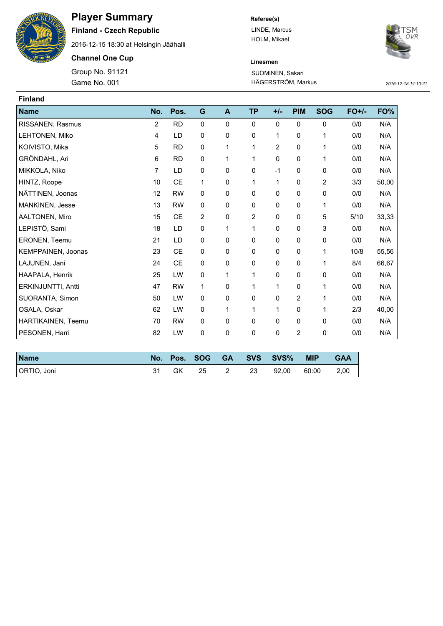

## **Player Summary**

**Finland - Czech Republic**

2016-12-15 18:30 at Helsingin Jäähalli

**Channel One Cup**

Game No. 001 HÄGERSTRÖM, Markus *2016-12-18 14:10:21* Group No. 91121

**Referee(s)** LINDE, Marcus HOLM, Mikael



## **Linesmen** SUOMINEN, Sakari

| <b>Finland</b>     |                |               |                |              |                |                |                |             |         |       |
|--------------------|----------------|---------------|----------------|--------------|----------------|----------------|----------------|-------------|---------|-------|
| <b>Name</b>        | No.            | Pos.          | G              | $\mathbf{A}$ | <b>TP</b>      | $+/-$          | <b>PIM</b>     | <b>SOG</b>  | $FO+/-$ | FO%   |
| RISSANEN, Rasmus   | $\overline{2}$ | <b>RD</b>     | $\mathbf 0$    | 0            | $\Omega$       | $\Omega$       | $\Omega$       | $\mathbf 0$ | 0/0     | N/A   |
| LEHTONEN, Miko     | 4              | LD            | 0              | 0            | 0              | 1              | 0              | 1           | 0/0     | N/A   |
| KOIVISTO, Mika     | 5              | <b>RD</b>     | 0              | 1            | 1              | $\overline{2}$ | 0              | 1           | 0/0     | N/A   |
| GRÖNDAHL, Ari      | 6              | <b>RD</b>     | 0              | 1            | 1              | 0              | 0              | 1           | 0/0     | N/A   |
| MIKKOLA, Niko      | $\overline{7}$ | LD            | 0              | 0            | 0              | $-1$           | 0              | $\mathbf 0$ | 0/0     | N/A   |
| HINTZ, Roope       | 10             | $\mathsf{CE}$ | 1              | 0            | 1              | 1              | 0              | 2           | 3/3     | 50,00 |
| NÄTTINEN, Joonas   | 12             | <b>RW</b>     | 0              | 0            | 0              | $\mathbf 0$    | $\mathbf 0$    | $\mathbf 0$ | 0/0     | N/A   |
| MANKINEN, Jesse    | 13             | <b>RW</b>     | 0              | 0            | 0              | 0              | 0              | 1           | 0/0     | N/A   |
| AALTONEN, Miro     | 15             | <b>CE</b>     | $\overline{2}$ | 0            | $\overline{2}$ | $\mathbf{0}$   | $\Omega$       | 5           | 5/10    | 33,33 |
| LEPISTÖ, Sami      | 18             | LD            | 0              | 1            | 1              | 0              | 0              | 3           | 0/0     | N/A   |
| ERONEN, Teemu      | 21             | LD            | 0              | 0            | 0              | $\mathbf 0$    | 0              | 0           | 0/0     | N/A   |
| KEMPPAINEN, Joonas | 23             | <b>CE</b>     | 0              | 0            | 0              | 0              | $\mathbf 0$    | 1           | 10/8    | 55,56 |
| LAJUNEN, Jani      | 24             | CE            | 0              | 0            | 0              | $\mathbf 0$    | $\mathbf 0$    | 1           | 8/4     | 66,67 |
| HAAPALA, Henrik    | 25             | LW            | 0              | 1            | 1              | 0              | 0              | 0           | 0/0     | N/A   |
| ERKINJUNTTI, Antti | 47             | <b>RW</b>     | 1              | 0            | 1              | 1              | $\mathbf 0$    | 1           | 0/0     | N/A   |
| SUORANTA, Simon    | 50             | LW            | 0              | 0            | 0              | 0              | 2              | 1           | 0/0     | N/A   |
| OSALA, Oskar       | 62             | LW            | $\mathbf 0$    | 1            | 1              | 1              | $\mathbf 0$    | 1           | 2/3     | 40,00 |
| HARTIKAINEN, Teemu | 70             | <b>RW</b>     | 0              | 0            | 0              | $\mathbf 0$    | 0              | 0           | 0/0     | N/A   |
| PESONEN, Harri     | 82             | LW            | 0              | 0            | 0              | 0              | $\overline{2}$ | 0           | 0/0     | N/A   |

| <b>Name</b> |    | No. Pos. SOG |      | GA SVS SVS% | <b>MIP</b> | <b>GAA</b> |
|-------------|----|--------------|------|-------------|------------|------------|
| ORTIO, Joni | GK | 25           | - 23 | 92.00       | 60:00      | 2.00       |